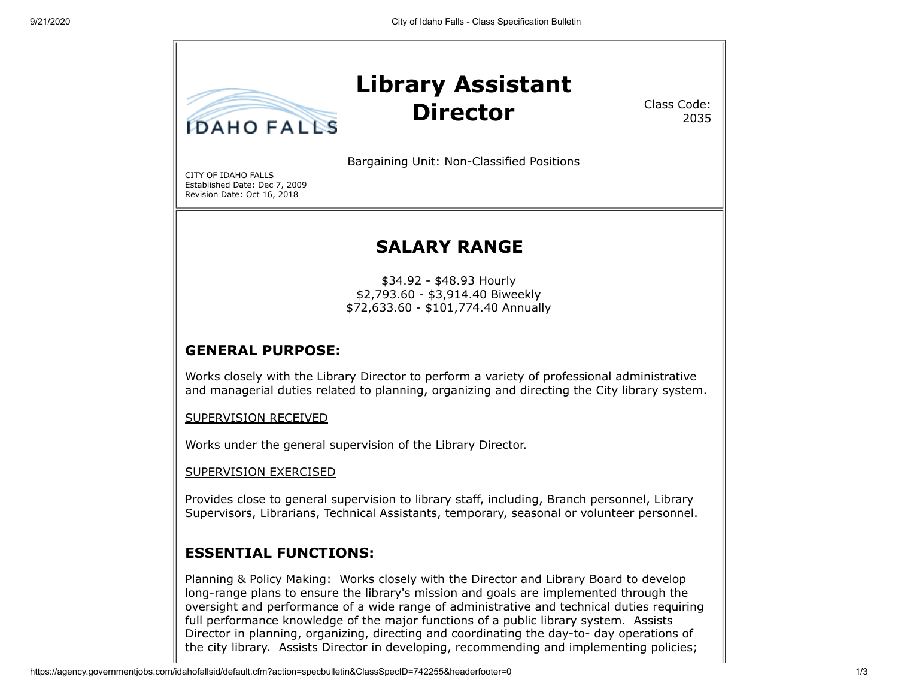

Class Code: 2035

Bargaining Unit: Non-Classified Positions

CITY OF IDAHO FALLS Established Date: Dec 7, 2009 Revision Date: Oct 16, 2018

# **SALARY RANGE**

\$34.92 - \$48.93 Hourly \$2,793.60 - \$3,914.40 Biweekly \$72,633.60 - \$101,774.40 Annually

### **GENERAL PURPOSE:**

Works closely with the Library Director to perform a variety of professional administrative and managerial duties related to planning, organizing and directing the City library system.

SUPERVISION RECEIVED

Works under the general supervision of the Library Director.

SUPERVISION EXERCISED

Provides close to general supervision to library staff, including, Branch personnel, Library Supervisors, Librarians, Technical Assistants, temporary, seasonal or volunteer personnel.

### **ESSENTIAL FUNCTIONS:**

Planning & Policy Making: Works closely with the Director and Library Board to develop long-range plans to ensure the library's mission and goals are implemented through the oversight and performance of a wide range of administrative and technical duties requiring full performance knowledge of the major functions of a public library system. Assists Director in planning, organizing, directing and coordinating the day-to- day operations of the city library. Assists Director in developing, recommending and implementing policies;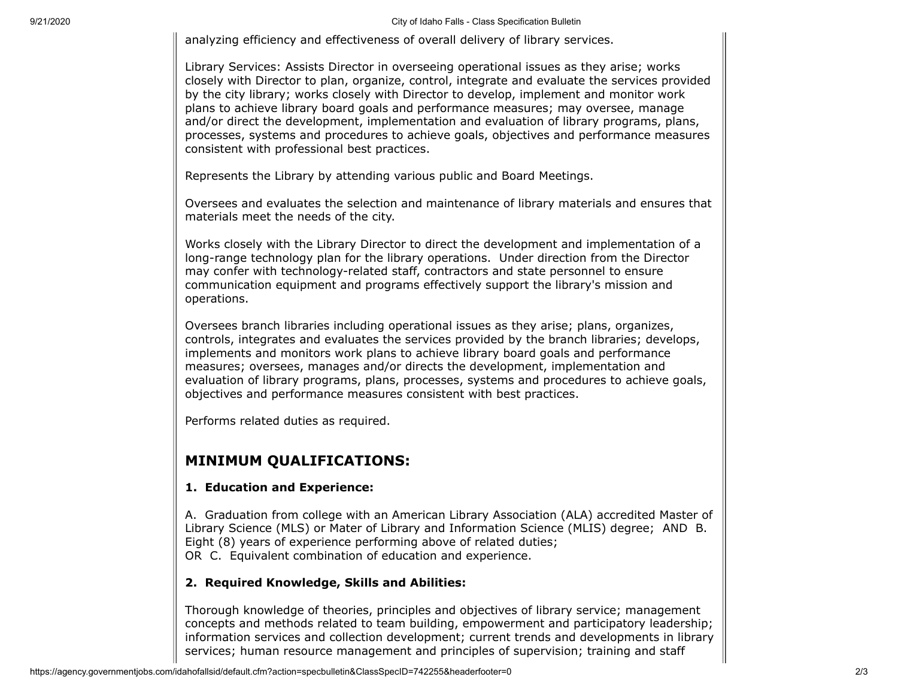9/21/2020 City of Idaho Falls - Class Specification Bulletin

analyzing efficiency and effectiveness of overall delivery of library services.

Library Services: Assists Director in overseeing operational issues as they arise; works closely with Director to plan, organize, control, integrate and evaluate the services provided by the city library; works closely with Director to develop, implement and monitor work plans to achieve library board goals and performance measures; may oversee, manage and/or direct the development, implementation and evaluation of library programs, plans, processes, systems and procedures to achieve goals, objectives and performance measures consistent with professional best practices.

Represents the Library by attending various public and Board Meetings.

Oversees and evaluates the selection and maintenance of library materials and ensures that materials meet the needs of the city.

Works closely with the Library Director to direct the development and implementation of a long-range technology plan for the library operations. Under direction from the Director may confer with technology-related staff, contractors and state personnel to ensure communication equipment and programs effectively support the library's mission and operations.

Oversees branch libraries including operational issues as they arise; plans, organizes, controls, integrates and evaluates the services provided by the branch libraries; develops, implements and monitors work plans to achieve library board goals and performance measures; oversees, manages and/or directs the development, implementation and evaluation of library programs, plans, processes, systems and procedures to achieve goals, objectives and performance measures consistent with best practices.

Performs related duties as required.

## **MINIMUM QUALIFICATIONS:**

#### **1. Education and Experience:**

A. Graduation from college with an American Library Association (ALA) accredited Master of Library Science (MLS) or Mater of Library and Information Science (MLIS) degree; AND B. Eight (8) years of experience performing above of related duties; OR C. Equivalent combination of education and experience.

#### **2. Required Knowledge, Skills and Abilities:**

Thorough knowledge of theories, principles and objectives of library service; management concepts and methods related to team building, empowerment and participatory leadership; information services and collection development; current trends and developments in library services; human resource management and principles of supervision; training and staff